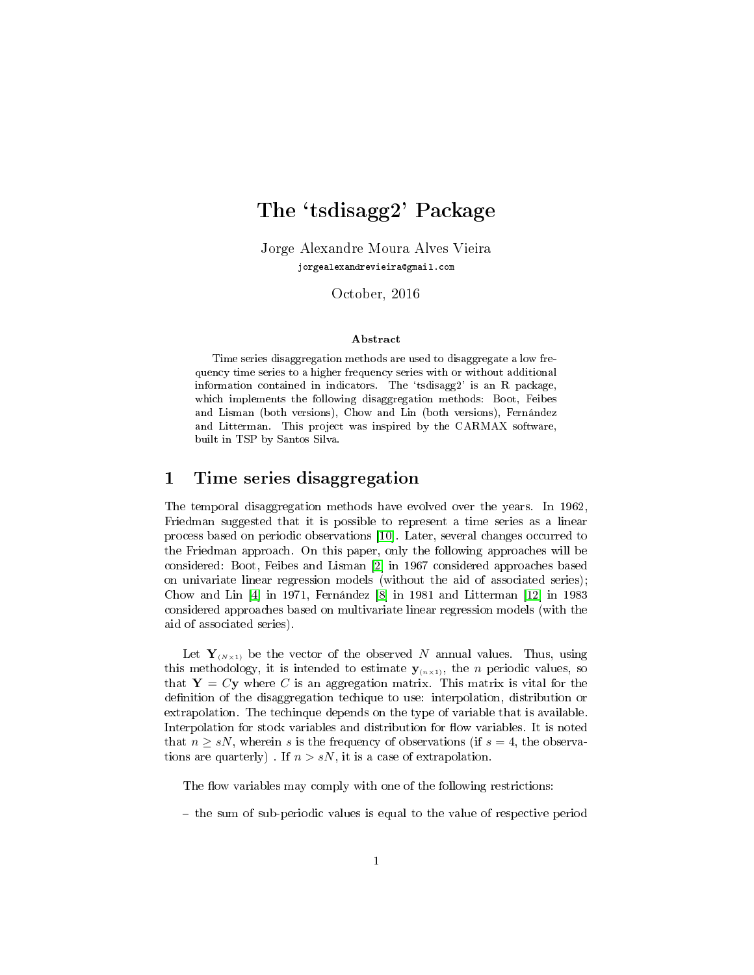# The `tsdisagg2' Package

Jorge Alexandre Moura Alves Vieira jorgealexandrevieira@gmail.com

October, 2016

#### Abstract

Time series disaggregation methods are used to disaggregate a low frequency time series to a higher frequency series with or without additional information contained in indicators. The `tsdisagg2' is an R package, which implements the following disaggregation methods: Boot, Feibes and Lisman (both versions), Chow and Lin (both versions), Fernández and Litterman. This project was inspired by the CARMAX software, built in TSP by Santos Silva.

### 1 Time series disaggregation

The temporal disaggregation methods have evolved over the years. In 1962, Friedman suggested that it is possible to represent a time series as a linear process based on periodic observations [\[10\]](#page-9-0). Later, several changes occurred to the Friedman approach. On this paper, only the following approaches will be considered: Boot, Feibes and Lisman [\[2\]](#page-8-0) in 1967 considered approaches based on univariate linear regression models (without the aid of associated series); Chow and Lin [\[4\]](#page-9-1) in 1971, Fernández [\[8\]](#page-9-2) in 1981 and Litterman [\[12\]](#page-9-3) in 1983 considered approaches based on multivariate linear regression models (with the aid of associated series).

Let  $Y_{(N\times1)}$  be the vector of the observed N annual values. Thus, using this methodology, it is intended to estimate  $y_{(n \times 1)}$ , the *n* periodic values, so that  $Y = Cy$  where C is an aggregation matrix. This matrix is vital for the definition of the disaggregation techique to use: interpolation, distribution or extrapolation. The techinque depends on the type of variable that is available. Interpolation for stock variables and distribution for flow variables. It is noted that  $n \geq sN$ , wherein s is the frequency of observations (if  $s = 4$ , the observations are quarterly). If  $n > sN$ , it is a case of extrapolation.

The flow variables may comply with one of the following restrictions:

 $-$  the sum of sub-periodic values is equal to the value of respective period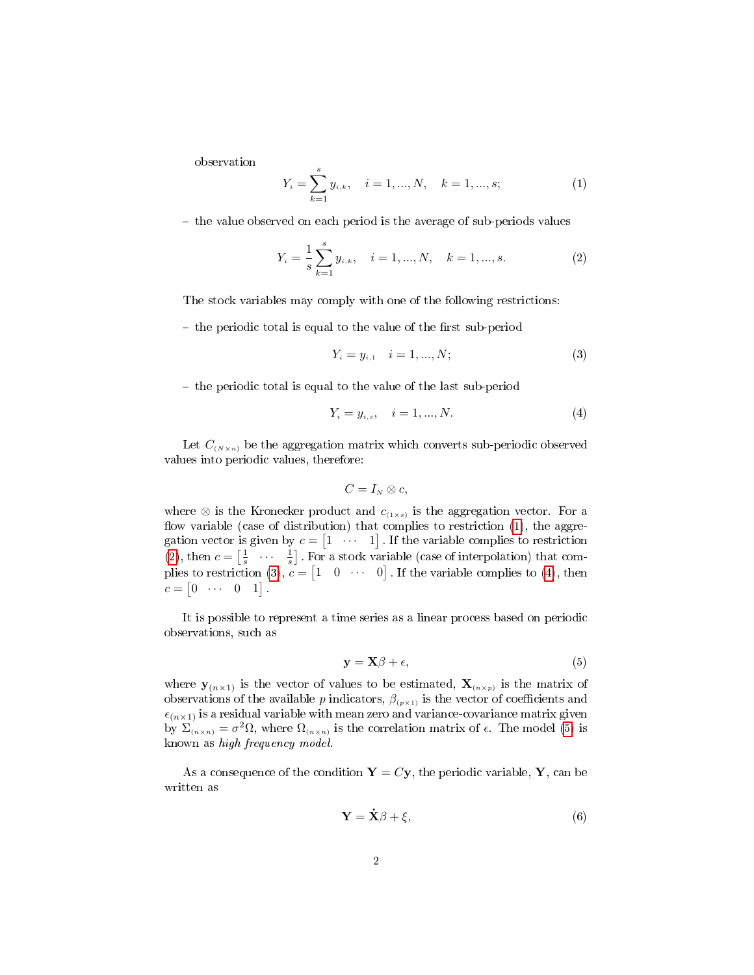observation

<span id="page-1-0"></span>
$$
Y_i = \sum_{k=1}^{s} y_{i,k}, \quad i = 1, ..., N, \quad k = 1, ..., s;
$$
 (1)

 $\theta$  the value observed on each period is the average of sub-periods values

<span id="page-1-1"></span>
$$
Y_i = \frac{1}{s} \sum_{k=1}^{s} y_{i,k}, \quad i = 1, ..., N, \quad k = 1, ..., s.
$$
 (2)

The stock variables may comply with one of the following restrictions:

 $\theta$  the periodic total is equal to the value of the first sub-period

<span id="page-1-2"></span>
$$
Y_i = y_{i,1} \quad i = 1, ..., N; \tag{3}
$$

- the periodic total is equal to the value of the last sub-period

<span id="page-1-3"></span>
$$
Y_i = y_{i,s}, \quad i = 1, ..., N. \tag{4}
$$

Let  $C_{(N\times n)}$  be the aggregation matrix which converts sub-periodic observed values into periodic values, therefore:

$$
C=I_N\otimes c,
$$

where  $\otimes$  is the Kronecker product and  $c_{(1 \times s)}$  is the aggregation vector. For a flow variable (case of distribution) that complies to restriction  $(1)$ , the aggregation vector is given by  $c = \begin{bmatrix} 1 & \cdots & 1 \end{bmatrix}$ . If the variable complies to restriction [\(2\)](#page-1-1), then  $c = \begin{bmatrix} \frac{1}{s} & \cdots & \frac{1}{s} \end{bmatrix}$ . For a stock variable (case of interpolation) that com-plies to restriction [\(3\)](#page-1-2),  $c = \begin{bmatrix} 1 & 0 & \cdots & 0 \end{bmatrix}$ . If the variable complies to [\(4\)](#page-1-3), then  $c = \begin{bmatrix} 0 & \cdots & 0 & 1 \end{bmatrix}$ .

It is possible to represent a time series as a linear process based on periodic observations, such as

<span id="page-1-4"></span>
$$
y = X\beta + \epsilon,\tag{5}
$$

where  $y_{(n\times1)}$  is the vector of values to be estimated,  $\mathbf{X}_{(n\times p)}$  is the matrix of observations of the available p indicators,  $\beta_{(p\times 1)}$  is the vector of coefficients and  $\epsilon_{(n\times1)}$  is a residual variable with mean zero and variance-covariance matrix given by  $\Sigma_{(n \times n)} = \sigma^2 \Omega$ , where  $\Omega_{(n \times n)}$  is the correlation matrix of  $\epsilon$ . The model [\(5\)](#page-1-4) is known as high frequency model.

As a consequence of the condition  $Y = Cy$ , the periodic variable, Y, can be written as

<span id="page-1-5"></span>
$$
\mathbf{Y} = \dot{\mathbf{X}}\beta + \xi,\tag{6}
$$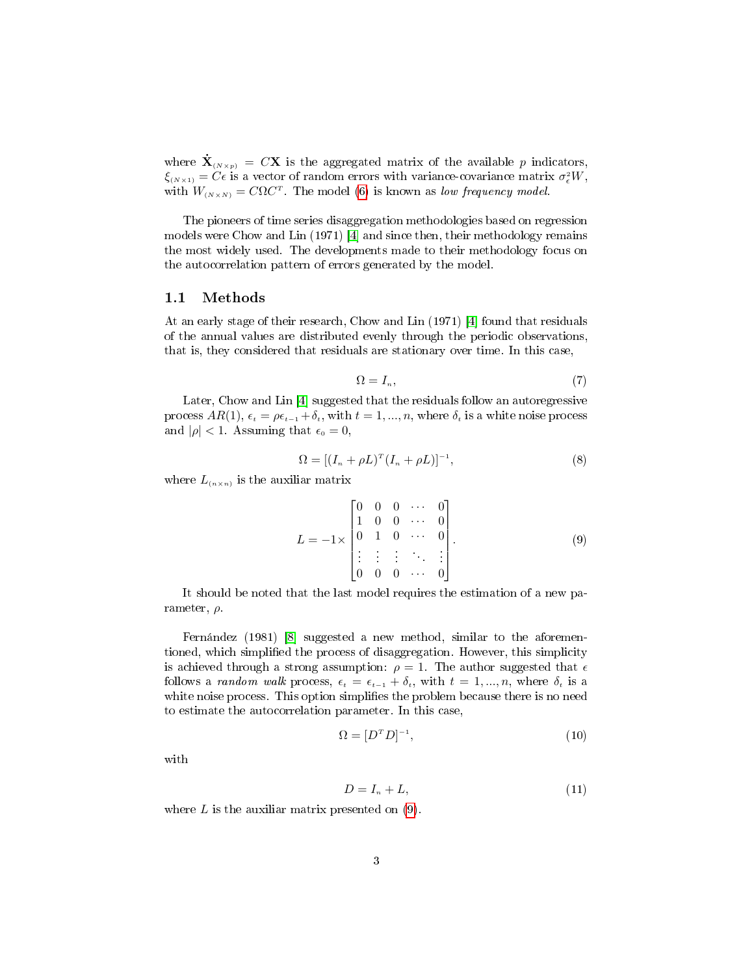where  $\dot{\mathbf{X}}_{(N\times p)} = C\mathbf{X}$  is the aggregated matrix of the available p indicators,  $\xi_{(N\times1)}=C\epsilon$  is a vector of random errors with variance-covariance matrix  $\sigma_{\epsilon}^2 W$ , with  $W_{(N\times N)} = C\Omega C^{T}$ . The model [\(6\)](#page-1-5) is known as low frequency model.

The pioneers of time series disaggregation methodologies based on regression models were Chow and Lin (1971) [\[4\]](#page-9-1) and since then, their methodology remains the most widely used. The developments made to their methodology focus on the autocorrelation pattern of errors generated by the model.

#### 1.1 Methods

At an early stage of their research, Chow and Lin (1971) [\[4\]](#page-9-1) found that residuals of the annual values are distributed evenly through the periodic observations, that is, they considered that residuals are stationary over time. In this case,

<span id="page-2-2"></span>
$$
\Omega = I_n,\tag{7}
$$

Later, Chow and Lin [\[4\]](#page-9-1) suggested that the residuals follow an autoregressive process  $AR(1)$ ,  $\epsilon_t = \rho \epsilon_{t-1} + \delta_t$ , with  $t = 1, ..., n$ , where  $\delta_t$  is a white noise process and  $|\rho| < 1$ . Assuming that  $\epsilon_0 = 0$ ,

<span id="page-2-3"></span>
$$
\Omega = [(I_n + \rho L)^T (I_n + \rho L)]^{-1},\tag{8}
$$

where  $L_{(n \times n)}$  is the auxiliar matrix

<span id="page-2-0"></span>
$$
L = -1 \times \begin{bmatrix} 0 & 0 & 0 & \cdots & 0 \\ 1 & 0 & 0 & \cdots & 0 \\ 0 & 1 & 0 & \cdots & 0 \\ \vdots & \vdots & \vdots & \ddots & \vdots \\ 0 & 0 & 0 & \cdots & 0 \end{bmatrix} . \tag{9}
$$

It should be noted that the last model requires the estimation of a new parameter,  $\rho$ .

Fernández (1981) [\[8\]](#page-9-2) suggested a new method, similar to the aforementioned, which simplied the process of disaggregation. However, this simplicity is achieved through a strong assumption:  $\rho = 1$ . The author suggested that  $\epsilon$ follows a random walk process,  $\epsilon_t = \epsilon_{t-1} + \delta_t$ , with  $t = 1, ..., n$ , where  $\delta_t$  is a white noise process. This option simplifies the problem because there is no need to estimate the autocorrelation parameter. In this case,

<span id="page-2-4"></span>
$$
\Omega = [D^T D]^{-1},\tag{10}
$$

with

<span id="page-2-1"></span>
$$
D = I_n + L,\t\t(11)
$$

where  $L$  is the auxiliar matrix presented on  $(9)$ .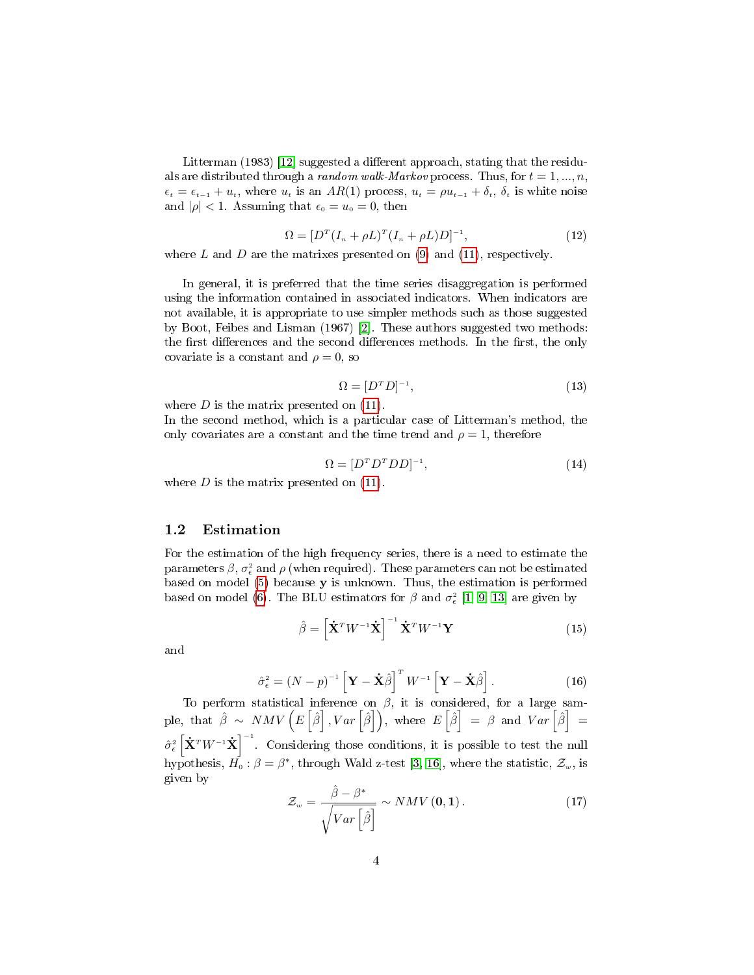Litterman (1983) [\[12\]](#page-9-3) suggested a different approach, stating that the residuals are distributed through a random walk-Markov process. Thus, for  $t = 1, ..., n$ ,  $\epsilon_t = \epsilon_{t-1} + u_t$ , where  $u_t$  is an  $AR(1)$  process,  $u_t = \rho u_{t-1} + \delta_t$ ,  $\delta_t$  is white noise and  $|\rho| < 1$ . Assuming that  $\epsilon_0 = u_0 = 0$ , then

<span id="page-3-0"></span>
$$
\Omega = [D^{T} (I_{n} + \rho L)^{T} (I_{n} + \rho L) D]^{-1}, \qquad (12)
$$

where  $L$  and  $D$  are the matrixes presented on [\(9\)](#page-2-0) and [\(11\)](#page-2-1), respectively.

In general, it is preferred that the time series disaggregation is performed using the information contained in associated indicators. When indicators are not available, it is appropriate to use simpler methods such as those suggested by Boot, Feibes and Lisman (1967) [\[2\]](#page-8-0). These authors suggested two methods: the first differences and the second differences methods. In the first, the only covariate is a constant and  $\rho = 0$ , so

<span id="page-3-1"></span>
$$
\Omega = [D^T D]^{-1},\tag{13}
$$

where  $D$  is the matrix presented on  $(11)$ .

In the second method, which is a particular case of Litterman's method, the only covariates are a constant and the time trend and  $\rho = 1$ , therefore

<span id="page-3-2"></span>
$$
\Omega = [D^T D^T D D]^{-1},\tag{14}
$$

where  $D$  is the matrix presented on  $(11)$ .

#### 1.2 Estimation

For the estimation of the high frequency series, there is a need to estimate the parameters  $\beta$ ,  $\sigma_{\epsilon}^2$  and  $\rho$  (when required). These parameters can not be estimated based on model  $(5)$  because **y** is unknown. Thus, the estimation is performed based on model [\(6\)](#page-1-5). The BLU estimators for  $\beta$  and  $\sigma_{\epsilon}^2$  [\[1,](#page-8-1) [9,](#page-9-4) [13\]](#page-9-5) are given by

$$
\hat{\beta} = \left[ \dot{\mathbf{X}}^T W^{-1} \dot{\mathbf{X}} \right]^{-1} \dot{\mathbf{X}}^T W^{-1} \mathbf{Y}
$$
\n(15)

and

<span id="page-3-3"></span>
$$
\hat{\sigma}_{\epsilon}^{2} = (N - p)^{-1} \left[ \mathbf{Y} - \dot{\mathbf{X}} \hat{\beta} \right]^{T} W^{-1} \left[ \mathbf{Y} - \dot{\mathbf{X}} \hat{\beta} \right]. \tag{16}
$$

To perform statistical inference on  $\beta$ , it is considered, for a large sample, that  $\hat{\beta} \sim NMV\left(E\left[\hat{\beta}\right], Var\left[\hat{\beta}\right]\right)$ , where  $E\left[\hat{\beta}\right] = \beta$  and  $Var\left[\hat{\beta}\right] =$  $\hat{\sigma}_{\epsilon}^{2} \left[ \dot{\mathbf{X}}^{T} W^{-1} \dot{\mathbf{X}} \right]^{-1}$ . Considering those conditions, it is possible to test the null hypothesis,  $\vec{H_0}$ :  $\beta = \beta^*$ , through Wald z-test [\[3,](#page-9-6) [16\]](#page-10-0), where the statistic,  $\mathcal{Z}_w$ , is given by

<span id="page-3-4"></span>
$$
\mathcal{Z}_{w} = \frac{\hat{\beta} - \beta^{*}}{\sqrt{Var\left[\hat{\beta}\right]}} \sim NMV\left(\mathbf{0}, \mathbf{1}\right). \tag{17}
$$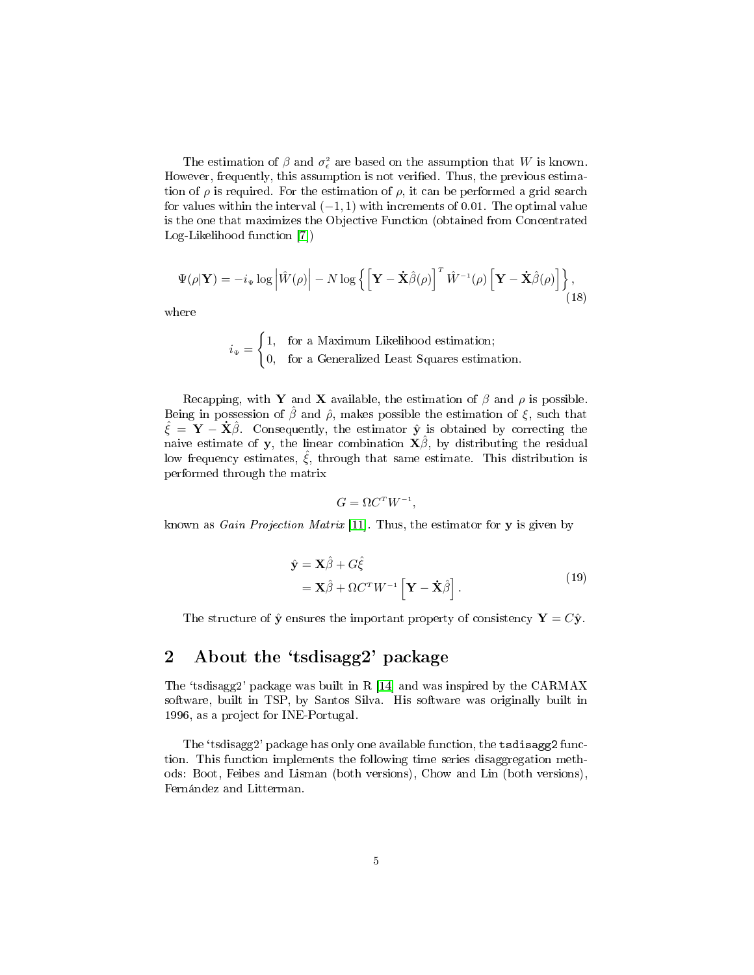The estimation of  $\beta$  and  $\sigma_{\epsilon}^2$  are based on the assumption that W is known. However, frequently, this assumption is not verified. Thus, the previous estimation of  $\rho$  is required. For the estimation of  $\rho$ , it can be performed a grid search for values within the interval  $(-1, 1)$  with increments of 0.01. The optimal value is the one that maximizes the Objective Function (obtained from Concentrated Log-Likelihood function [\[7\]](#page-9-7))

$$
\Psi(\rho|\mathbf{Y}) = -i_{\Psi} \log \left| \hat{W}(\rho) \right| - N \log \left\{ \left[ \mathbf{Y} - \mathbf{\dot{X}} \hat{\beta}(\rho) \right]^T \hat{W}^{-1}(\rho) \left[ \mathbf{Y} - \mathbf{\dot{X}} \hat{\beta}(\rho) \right] \right\},\tag{18}
$$

where

$$
i_{\Psi} = \begin{cases} 1, & \text{for a Maximum Likelihood estimation;} \\ 0, & \text{for a Generalized Least Squares estimation.} \end{cases}
$$

Recapping, with Y and X available, the estimation of  $\beta$  and  $\rho$  is possible. Being in possession of  $\hat{\beta}$  and  $\hat{\rho}$ , makes possible the estimation of  $\xi$ , such that  $\hat{\xi} = \mathbf{Y} - \dot{\mathbf{X}}\hat{\beta}$ . Consequently, the estimator  $\hat{\mathbf{y}}$  is obtained by correcting the naive estimate of y, the linear combination  $\mathbf{X}\hat{\beta}$ , by distributing the residual low frequency estimates,  $\xi$ , through that same estimate. This distribution is performed through the matrix

$$
G = \Omega C^T W^{-1},
$$

known as *Gain Projection Matrix* [\[11\]](#page-9-8). Thus, the estimator for **y** is given by

$$
\hat{\mathbf{y}} = \mathbf{X}\hat{\beta} + G\hat{\xi} \n= \mathbf{X}\hat{\beta} + \Omega C^T W^{-1} \left[ \mathbf{Y} - \dot{\mathbf{X}}\hat{\beta} \right].
$$
\n(19)

The structure of  $\hat{\mathbf{y}}$  ensures the important property of consistency  $\mathbf{Y} = C\hat{\mathbf{y}}$ .

### 2 About the 'tsdisagg2' package

The 'tsdisagg2' package was built in R  $[14]$  and was inspired by the CARMAX software, built in TSP, by Santos Silva. His software was originally built in 1996, as a project for INE-Portugal.

The 'tsdisagg2' package has only one available function, the tsdisagg2 function. This function implements the following time series disaggregation methods: Boot, Feibes and Lisman (both versions), Chow and Lin (both versions), Fernández and Litterman.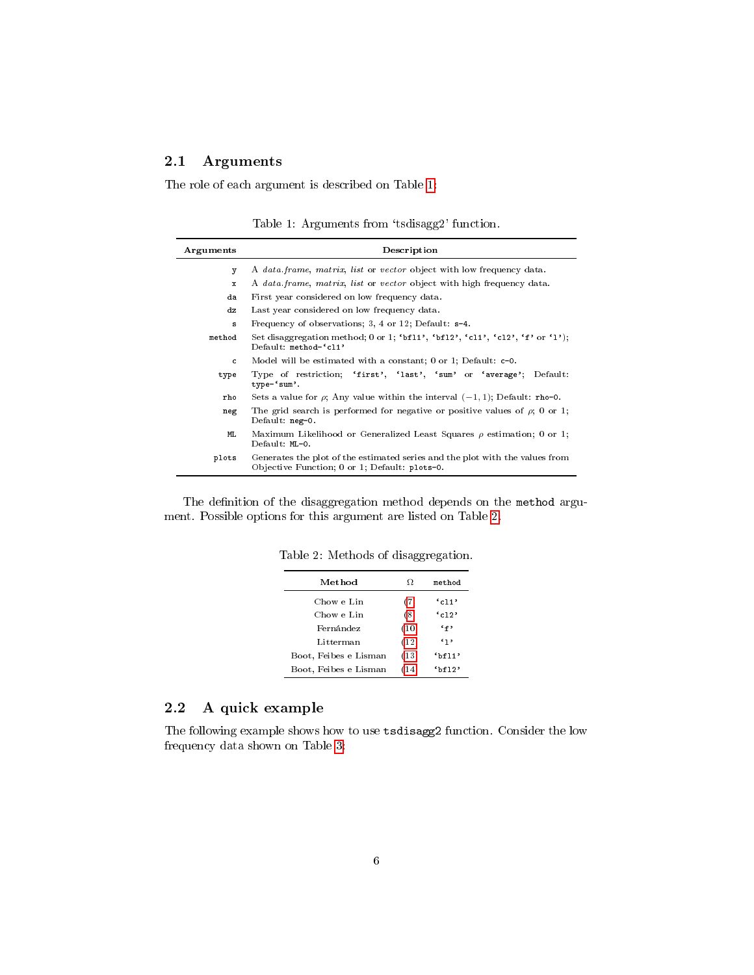### 2.1 Arguments

The role of each argument is described on Table [1:](#page-5-0)

<span id="page-5-0"></span>Table 1: Arguments from 'tsdisagg2' function.

| Arguments | Description                                                                                                                   |
|-----------|-------------------------------------------------------------------------------------------------------------------------------|
| v         | A data frame, matrix, list or vector object with low frequency data.                                                          |
| x         | A data frame, matrix, list or vector object with high frequency data.                                                         |
| da        | First year considered on low frequency data.                                                                                  |
| dz        | Last year considered on low frequency data.                                                                                   |
| s         | Frequency of observations; 3, 4 or 12; Default: s=4.                                                                          |
| method    | Set disaggregation method; 0 or 1; 'bf11', 'bf12', 'c11', 'c12', 'f' or '1');<br>Default: method='cl1'                        |
| c.        | Model will be estimated with a constant; 0 or 1; Default: c=0.                                                                |
| type      | Type of restriction; 'first', 'last', 'sum' or 'average';<br>Default:<br>$type='sum'.$                                        |
| rho       | Sets a value for $\rho$ ; Any value within the interval $(-1, 1)$ ; Default: rho=0.                                           |
| neg       | The grid search is performed for negative or positive values of $\rho$ ; 0 or 1;<br>Default: neg=0.                           |
| ML        | Maximum Likelihood or Generalized Least Squares $\rho$ estimation; 0 or 1;<br>Default: ML=0.                                  |
| plots     | Generates the plot of the estimated series and the plot with the values from<br>Objective Function; 0 or 1; Default: plots=0. |

The definition of the disaggregation method depends on the method argument. Possible options for this argument are listed on Table [2.](#page-5-1)

<span id="page-5-1"></span>

| Method                | Ω    | method      |
|-----------------------|------|-------------|
| Chow e Lin            | (7)  | $C_{c11}$   |
| Chow e Lin            | (8)  | $C_{c12}$   |
| Fernández             | (10) | `f          |
| Litterman             | (12) | $\cdot_1$ , |
| Boot, Feibes e Lisman | (13) | `bf11'      |
| Boot, Feibes e Lisman | (14) | bff12       |

Table 2: Methods of disaggregation.

### 2.2 A quick example

The following example shows how to use tsdisagg2 function. Consider the low frequency data shown on Table [3:](#page-6-0)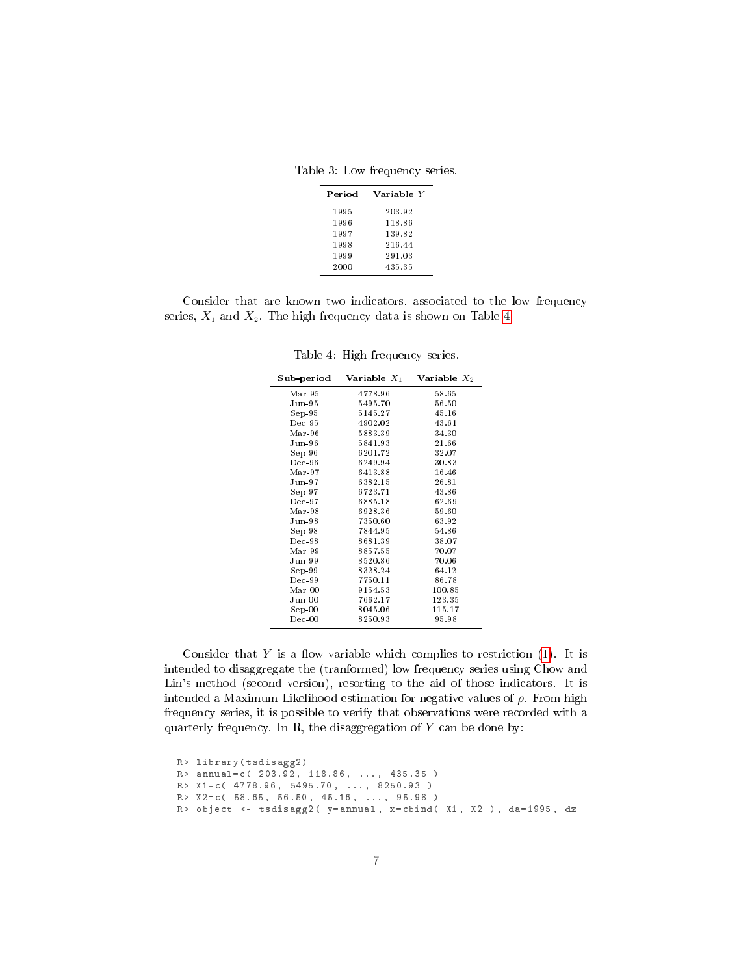Table 3: Low frequency series.

<span id="page-6-0"></span>

| Period | Variable Y |
|--------|------------|
| 1995   | 203.92     |
| 1996   | 118.86     |
| 1997   | 139.82     |
| 1998   | 216 44     |
| 1999   | 291.03     |
| 2000   | 435.35     |

Consider that are known two indicators, associated to the low frequency series,  $X_1$  and  $X_2$ . The high frequency data is shown on Table [4:](#page-6-1)

| Sub-period      | Variable $X_1$ | Variable $X_2$ |
|-----------------|----------------|----------------|
| Mar-95          | 4778.96        | 58.65          |
| $_{\rm Jun-95}$ | 5495.70        | 56.50          |
| $Sep-95$        | 5145.27        | 45.16          |
| $Dec-95$        | 4902.02        | 43.61          |
| Mar-96          | 5883.39        | 34.30          |
| Jun-96          | 5841.93        | 21.66          |
| $Sep-96$        | 6201.72        | 32.07          |
| $Dec-96$        | 6249.94        | 30.83          |
| $Mar-97$        | 6413.88        | 16.46          |
| $_{\rm Jun-97}$ | 6382.15        | 26.81          |
| $Sep-97$        | 6723.71        | 43.86          |
| $Dec-97$        | 6885.18        | 62.69          |
| $Mar-98$        | 6928.36        | 59.60          |
| Jun-98          | 7350.60        | 63.92          |
| $Sep-98$        | 7844.95        | 54.86          |
| $Dec-98$        | 8681.39        | 38.07          |
| Mar-99          | 8857.55        | 70.07          |
| $_{\rm Jun-99}$ | 8520.86        | 70.06          |
| Sep-99          | 8328.24        | 64.12          |
| $Dec-99$        | 7750.11        | 86.78          |
| $Mar-00$        | 9154.53        | 100.85         |
| $_{\rm Jun-00}$ | 7662.17        | 123.35         |
| $Sep-00$        | 8045.06        | 115.17         |
| $Dec-00$        | 8250.93        | 95.98          |
|                 |                |                |

<span id="page-6-1"></span>Table 4: High frequency series.

Consider that  $Y$  is a flow variable which complies to restriction [\(1\)](#page-1-0). It is intended to disaggregate the (tranformed) low frequency series using Chow and Lin's method (second version), resorting to the aid of those indicators. It is intended a Maximum Likelihood estimation for negative values of  $\rho$ . From high frequency series, it is possible to verify that observations were recorded with a quarterly frequency. In R, the disaggregation of  $Y$  can be done by:

R> library (tsdisagg2)  $R >$  annual=c( 203.92, 118.86, ..., 435.35 ) R > X1 =c( 4778.96 , 5495.70 , ... , 8250.93 ) R > X2 =c( 58.65 , 56.50 , 45.16 , ... , 95.98 ) R> object <- tsdisagg2( y=annual, x=cbind( X1, X2 ), da=1995, dz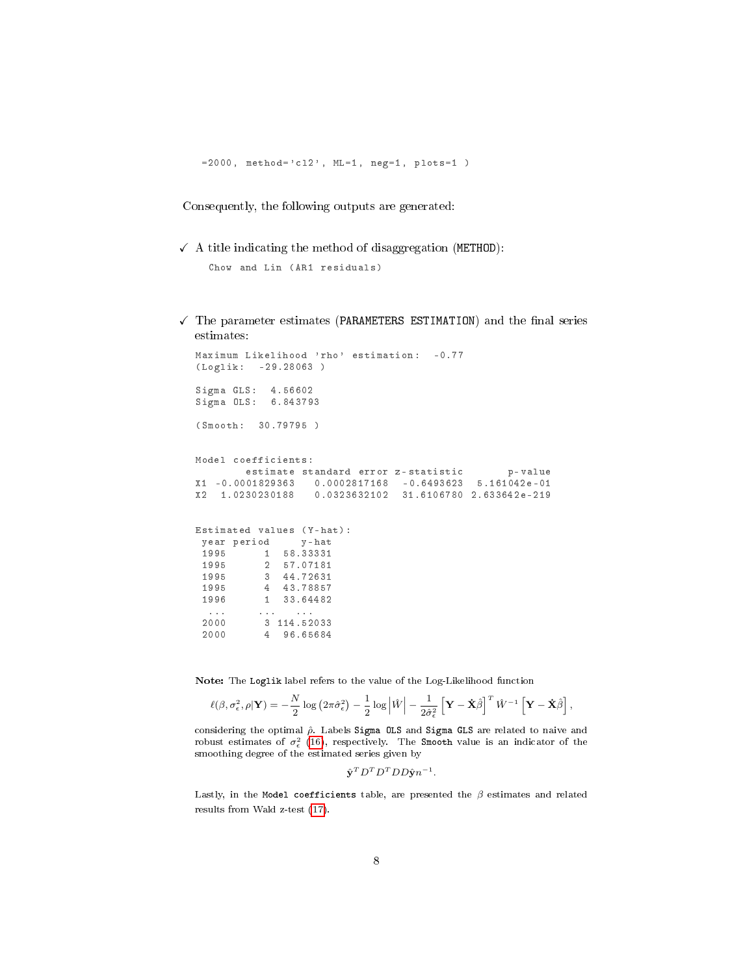$= 2000$ , method = ' cl2', ML = 1, neg = 1, plots = 1)

Consequently, the following outputs are generated:

 $\checkmark$  A title indicating the method of disaggregation (METHOD):

```
Chow and Lin ( AR1 residuals )
```
 $\checkmark$  The parameter estimates (PARAMETERS ESTIMATION) and the final series estimates:

```
Maximum Likelihood 'rho' estimation: -0.77
( Loglik : -29.28063 )
Sigma GLS : 4.56602
Sigma OLS : 6.843793
( Smooth : 30.79795 )
Model coefficients :
       estimate standard error z-statistic b-value
X1 -0.0001829363 0.0002817168 -0.6493623 5.161042 e -01
X2 1.0230230188 0.0323632102 31.6106780 2.633642 e -219
Estimated values (Y-hat):
 year period y - hat
 1995 1 58.33331
 1995 2 57.07181
 1995 3 44.72631
 1995 4 43.78857<br>1996 1 33.64482
          1 33.64482
  ... ... ... ... ... ... ... ...
 2000 3 114.52033
 2000 4 96.65684
```
Note: The Loglik label refers to the value of the Log-Likelihood function

$$
\ell(\beta, \sigma_{\epsilon}^2, \rho | \mathbf{Y}) = -\frac{N}{2} \log \left( 2\pi \hat{\sigma}_{\epsilon}^2 \right) - \frac{1}{2} \log \left| \hat{W} \right| - \frac{1}{2\hat{\sigma}_{\epsilon}^2} \left[ \mathbf{Y} - \dot{\mathbf{X}} \hat{\beta} \right]^T \hat{W}^{-1} \left[ \mathbf{Y} - \dot{\mathbf{X}} \hat{\beta} \right],
$$

considering the optimal  $\hat{\rho}$ . Labels Sigma OLS and Sigma GLS are related to naive and robust estimates of  $\sigma_{\epsilon}^2$  [\(16\)](#page-3-3), respectively. The Smooth value is an indicator of the smoothing degree of the estimated series given by

```
\hat{\mathbf{y}}^{T}D^{T}D^{T}DD\hat{\mathbf{y}}n^{-1}.
```
Lastly, in the Model coefficients table, are presented the  $\beta$  estimates and related results from Wald z-test [\(17\)](#page-3-4).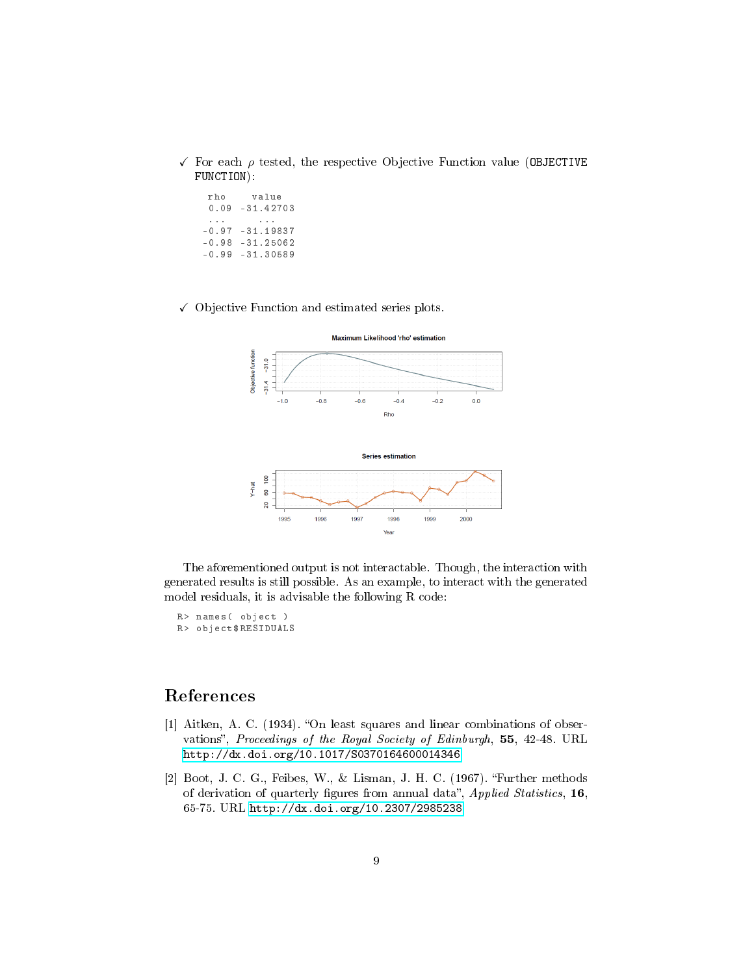- $\checkmark$  For each  $\rho$  tested, the respective Objective Function value (OBJECTIVE FUNCTION):
	- rho value 0.09 -31.42703 ... ... -0.97 -31.19837  $-0.98 -31.25062$  $-0.99 -31.30589$
- $\checkmark$  Objective Function and estimated series plots.



The aforementioned output is not interactable. Though, the interaction with generated results is still possible. As an example, to interact with the generated model residuals, it is advisable the following R code:

R> names ( object ) R> object \$RESIDUALS

## References

- <span id="page-8-1"></span>[1] Aitken, A. C. (1934). "On least squares and linear combinations of observations", Proceedings of the Royal Society of Edinburgh, 55, 42-48. URL <http://dx.doi.org/10.1017/S0370164600014346>
- <span id="page-8-0"></span>[2] Boot, J. C. G., Feibes, W., & Lisman, J. H. C. (1967). Further methods of derivation of quarterly figures from annual data", Applied Statistics,  $16$ , 65-75. URL <http://dx.doi.org/10.2307/2985238>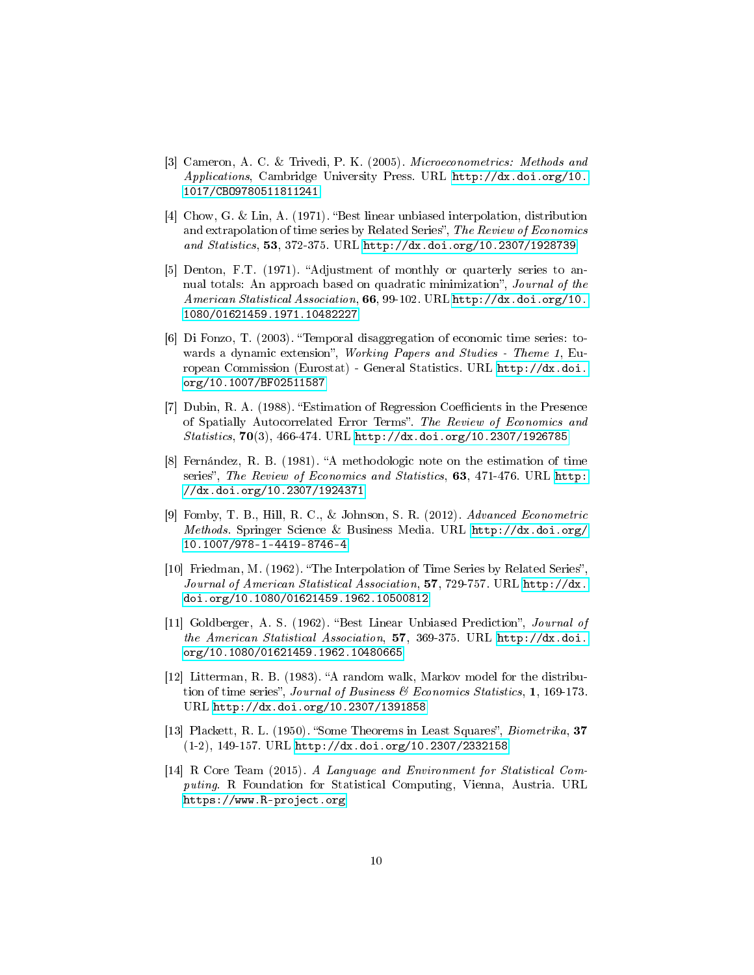- <span id="page-9-6"></span>[3] Cameron, A. C. & Trivedi, P. K. (2005). Microeconometrics: Methods and Applications, Cambridge University Press. URL [http://dx.doi.org/10.](http://dx.doi.org/10.1017/CBO9780511811241) [1017/CBO9780511811241](http://dx.doi.org/10.1017/CBO9780511811241)
- <span id="page-9-1"></span>[4] Chow, G. & Lin, A. (1971). "Best linear unbiased interpolation, distribution and extrapolation of time series by Related Series", The Review of Economics and Statistics, 53, 372-375. URL <http://dx.doi.org/10.2307/1928739>
- [5] Denton, F.T. (1971). "Adjustment of monthly or quarterly series to annual totals: An approach based on quadratic minimization", Journal of the American Statistical Association, 66, 99-102. URL [http://dx.doi.org/10.](http://dx.doi.org/10.1080/01621459.1971.10482227) [1080/01621459.1971.10482227](http://dx.doi.org/10.1080/01621459.1971.10482227)
- [6] Di Fonzo, T. (2003). "Temporal disaggregation of economic time series: towards a dynamic extension", Working Papers and Studies - Theme 1, European Commission (Eurostat) - General Statistics. URL [http://dx.doi.](http://dx.doi.org/10.1007/BF02511587) [org/10.1007/BF02511587](http://dx.doi.org/10.1007/BF02511587)
- <span id="page-9-7"></span>[7] Dubin, R. A. (1988). "Estimation of Regression Coefficients in the Presence of Spatially Autocorrelated Error Terms". The Review of Economics and Statistics, 70(3), 466-474. URL <http://dx.doi.org/10.2307/1926785>
- <span id="page-9-2"></span>[8] Fernández, R. B. (1981). "A methodologic note on the estimation of time series", The Review of Economics and Statistics, 63, 471-476. URL [http:](http://dx.doi.org/10.2307/1924371) [//dx.doi.org/10.2307/1924371](http://dx.doi.org/10.2307/1924371)
- <span id="page-9-4"></span>[9] Fomby, T. B., Hill, R. C., & Johnson, S. R. (2012). Advanced Econometric Methods. Springer Science & Business Media. URL [http://dx.doi.org/](http://dx.doi.org/10.1007/978-1-4419-8746-4) [10.1007/978-1-4419-8746-4](http://dx.doi.org/10.1007/978-1-4419-8746-4)
- <span id="page-9-0"></span>[10] Friedman, M. (1962). "The Interpolation of Time Series by Related Series", Journal of American Statistical Association, 57, 729-757. URL [http://dx.](http://dx.doi.org/10.1080/01621459.1962.10500812) [doi.org/10.1080/01621459.1962.10500812](http://dx.doi.org/10.1080/01621459.1962.10500812)
- <span id="page-9-8"></span>[11] Goldberger, A. S. (1962). "Best Linear Unbiased Prediction", Journal of the American Statistical Association, 57, 369-375. URL [http://dx.doi.](http://dx.doi.org/10.1080/01621459.1962.10480665) [org/10.1080/01621459.1962.10480665](http://dx.doi.org/10.1080/01621459.1962.10480665)
- <span id="page-9-3"></span>[12] Litterman, R. B. (1983). "A random walk, Markov model for the distribution of time series", Journal of Business  $\mathcal B$  Economics Statistics, 1, 169-173. URL <http://dx.doi.org/10.2307/1391858>
- <span id="page-9-5"></span>[13] Plackett, R. L. (1950). "Some Theorems in Least Squares", *Biometrika*, 37 (1-2), 149-157. URL <http://dx.doi.org/10.2307/2332158>
- <span id="page-9-9"></span>[14] R Core Team (2015). A Language and Environment for Statistical Computing. R Foundation for Statistical Computing, Vienna, Austria. URL <https://www.R-project.org>